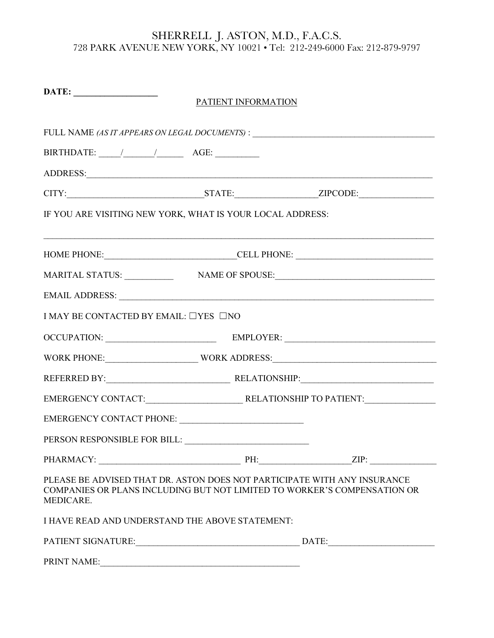## SHERRELL J. ASTON, M.D., F.A.C.S. 728 PARK AVENUE NEW YORK, NY 10021 • Tel: 212-249-6000 Fax: 212-879-9797

|                                                           | PATIENT INFORMATION |                                                                                                                                                      |  |
|-----------------------------------------------------------|---------------------|------------------------------------------------------------------------------------------------------------------------------------------------------|--|
|                                                           |                     | FULL NAME (AS IT APPEARS ON LEGAL DOCUMENTS) : _________________________________                                                                     |  |
| BIRTHDATE: $\_\_\_\_\_\_\_\_\_\$ AGE:                     |                     |                                                                                                                                                      |  |
|                                                           |                     |                                                                                                                                                      |  |
|                                                           |                     |                                                                                                                                                      |  |
| IF YOU ARE VISITING NEW YORK, WHAT IS YOUR LOCAL ADDRESS: |                     |                                                                                                                                                      |  |
|                                                           |                     |                                                                                                                                                      |  |
|                                                           |                     |                                                                                                                                                      |  |
|                                                           |                     |                                                                                                                                                      |  |
| I MAY BE CONTACTED BY EMAIL: □YES □NO                     |                     |                                                                                                                                                      |  |
|                                                           |                     | OCCUPATION: EMPLOYER: EMPLOYER:                                                                                                                      |  |
|                                                           |                     | WORK PHONE:___________________________WORK ADDRESS:______________________________                                                                    |  |
|                                                           |                     |                                                                                                                                                      |  |
|                                                           |                     |                                                                                                                                                      |  |
|                                                           |                     |                                                                                                                                                      |  |
| PERSON RESPONSIBLE FOR BILL:                              |                     |                                                                                                                                                      |  |
|                                                           |                     |                                                                                                                                                      |  |
| MEDICARE.                                                 |                     | PLEASE BE ADVISED THAT DR. ASTON DOES NOT PARTICIPATE WITH ANY INSURANCE<br>COMPANIES OR PLANS INCLUDING BUT NOT LIMITED TO WORKER'S COMPENSATION OR |  |
| I HAVE READ AND UNDERSTAND THE ABOVE STATEMENT:           |                     |                                                                                                                                                      |  |
|                                                           |                     |                                                                                                                                                      |  |
| PRINT NAME:                                               |                     |                                                                                                                                                      |  |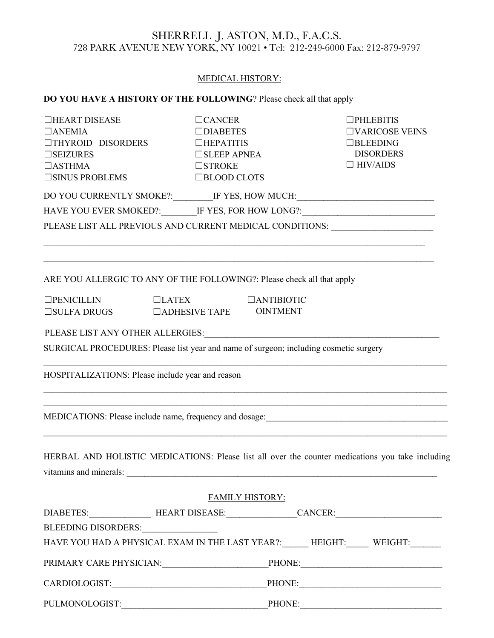## SHERRELL J. ASTON, M.D., F.A.C.S. 728 PARK AVENUE NEW YORK, NY 10021 • Tel: 212-249-6000 Fax: 212-879-9797

#### MEDICAL HISTORY:

# **DO YOU HAVE A HISTORY OF THE FOLLOWING**? Please check all that apply

| $\Box$ HEPATITIS<br>$\square$ SLEEP APNEA<br>$\square$ STROKE<br>□BLOOD CLOTS<br>ARE YOU ALLERGIC TO ANY OF THE FOLLOWING?: Please check all that apply<br>$\Box$ ANTIBIOTIC<br><b>OINTMENT</b><br>$\Box$ ADHESIVE TAPE | $\Box$ BLEEDING<br><b>DISORDERS</b><br>$\Box$ HIV/AIDS<br>DO YOU CURRENTLY SMOKE?:__________IF YES, HOW MUCH:_____________________________<br>HAVE YOU EVER SMOKED?:________IF YES, FOR HOW LONG?:____________________________<br>PLEASE LIST ALL PREVIOUS AND CURRENT MEDICAL CONDITIONS: _______________________ |
|-------------------------------------------------------------------------------------------------------------------------------------------------------------------------------------------------------------------------|--------------------------------------------------------------------------------------------------------------------------------------------------------------------------------------------------------------------------------------------------------------------------------------------------------------------|
|                                                                                                                                                                                                                         |                                                                                                                                                                                                                                                                                                                    |
|                                                                                                                                                                                                                         |                                                                                                                                                                                                                                                                                                                    |
|                                                                                                                                                                                                                         |                                                                                                                                                                                                                                                                                                                    |
|                                                                                                                                                                                                                         |                                                                                                                                                                                                                                                                                                                    |
|                                                                                                                                                                                                                         |                                                                                                                                                                                                                                                                                                                    |
|                                                                                                                                                                                                                         |                                                                                                                                                                                                                                                                                                                    |
|                                                                                                                                                                                                                         |                                                                                                                                                                                                                                                                                                                    |
|                                                                                                                                                                                                                         |                                                                                                                                                                                                                                                                                                                    |
|                                                                                                                                                                                                                         |                                                                                                                                                                                                                                                                                                                    |
|                                                                                                                                                                                                                         |                                                                                                                                                                                                                                                                                                                    |
|                                                                                                                                                                                                                         |                                                                                                                                                                                                                                                                                                                    |
|                                                                                                                                                                                                                         |                                                                                                                                                                                                                                                                                                                    |
|                                                                                                                                                                                                                         |                                                                                                                                                                                                                                                                                                                    |
| SURGICAL PROCEDURES: Please list year and name of surgeon; including cosmetic surgery                                                                                                                                   |                                                                                                                                                                                                                                                                                                                    |
|                                                                                                                                                                                                                         |                                                                                                                                                                                                                                                                                                                    |
| HOSPITALIZATIONS: Please include year and reason                                                                                                                                                                        |                                                                                                                                                                                                                                                                                                                    |
|                                                                                                                                                                                                                         |                                                                                                                                                                                                                                                                                                                    |
|                                                                                                                                                                                                                         |                                                                                                                                                                                                                                                                                                                    |
|                                                                                                                                                                                                                         | MEDICATIONS: Please include name, frequency and dosage:<br><u>Canadian Communications</u>                                                                                                                                                                                                                          |
|                                                                                                                                                                                                                         |                                                                                                                                                                                                                                                                                                                    |
|                                                                                                                                                                                                                         | HERBAL AND HOLISTIC MEDICATIONS: Please list all over the counter medications you take including                                                                                                                                                                                                                   |
|                                                                                                                                                                                                                         |                                                                                                                                                                                                                                                                                                                    |
|                                                                                                                                                                                                                         |                                                                                                                                                                                                                                                                                                                    |
| FAMILY HISTORY:                                                                                                                                                                                                         |                                                                                                                                                                                                                                                                                                                    |
|                                                                                                                                                                                                                         | DIABETES:___________________HEART DISEASE:__________________CANCER:_________________________________                                                                                                                                                                                                               |
| BLEEDING DISORDERS:                                                                                                                                                                                                     |                                                                                                                                                                                                                                                                                                                    |
|                                                                                                                                                                                                                         | HAVE YOU HAD A PHYSICAL EXAM IN THE LAST YEAR?:______HEIGHT:______WEIGHT:_______                                                                                                                                                                                                                                   |
|                                                                                                                                                                                                                         | PRIMARY CARE PHYSICIAN: PHONE: PHONE:                                                                                                                                                                                                                                                                              |
|                                                                                                                                                                                                                         |                                                                                                                                                                                                                                                                                                                    |
|                                                                                                                                                                                                                         |                                                                                                                                                                                                                                                                                                                    |

PULMONOLOGIST:\_\_\_\_\_\_\_\_\_\_\_\_\_\_\_\_\_\_\_\_\_\_\_\_\_\_\_\_\_\_\_\_\_PHONE:\_\_\_\_\_\_\_\_\_\_\_\_\_\_\_\_\_\_\_\_\_\_\_\_\_\_\_\_\_\_\_\_